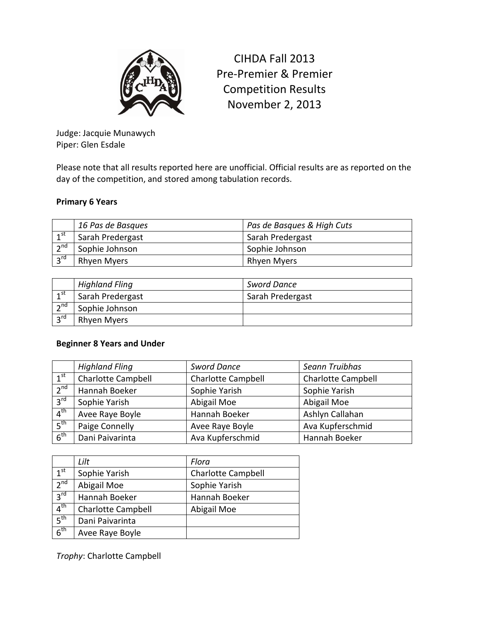

CIHDA Fall 2013 Pre-Premier & Premier Competition Results November 2, 2013

Judge: Jacquie Munawych Piper: Glen Esdale

Please note that all results reported here are unofficial. Official results are as reported on the day of the competition, and stored among tabulation records.

## **Primary 6 Years**

|                     | 16 Pas de Basques | Pas de Basques & High Cuts |
|---------------------|-------------------|----------------------------|
| 1 <sup>st</sup>     | Sarah Predergast  | Sarah Predergast           |
| $\overline{2}^{nd}$ | Sophie Johnson    | Sophie Johnson             |
| 3 <sup>rd</sup>     | Rhyen Myers       | Rhyen Myers                |

|                 | <b>Highland Fling</b> | <b>Sword Dance</b> |
|-----------------|-----------------------|--------------------|
| ⊿st             | Sarah Predergast      | Sarah Predergast   |
| $\lambda$ nd    | Sophie Johnson        |                    |
| $2^{\text{rd}}$ | Rhyen Myers           |                    |

#### **Beginner 8 Years and Under**

|                 | <b>Highland Fling</b>     | <b>Sword Dance</b>        | Seann Truibhas            |
|-----------------|---------------------------|---------------------------|---------------------------|
| $1^{\text{st}}$ | <b>Charlotte Campbell</b> | <b>Charlotte Campbell</b> | <b>Charlotte Campbell</b> |
| 2 <sup>nd</sup> | Hannah Boeker             | Sophie Yarish             | Sophie Yarish             |
| 3 <sup>rd</sup> | Sophie Yarish             | Abigail Moe               | Abigail Moe               |
| 4 <sup>th</sup> | Avee Raye Boyle           | Hannah Boeker             | Ashlyn Callahan           |
| 5 <sup>th</sup> | Paige Connelly            | Avee Raye Boyle           | Ava Kupferschmid          |
| 6 <sup>th</sup> | Dani Paivarinta           | Ava Kupferschmid          | Hannah Boeker             |

|                 | Lilt                      | Flora                     |
|-----------------|---------------------------|---------------------------|
| 1 <sup>st</sup> | Sophie Yarish             | <b>Charlotte Campbell</b> |
| $2^{nd}$        | Abigail Moe               | Sophie Yarish             |
| 3 <sup>rd</sup> | Hannah Boeker             | Hannah Boeker             |
| 4 <sup>th</sup> | <b>Charlotte Campbell</b> | Abigail Moe               |
| 5 <sup>th</sup> | Dani Paivarinta           |                           |
| 6 <sup>th</sup> | Avee Raye Boyle           |                           |

*Trophy*: Charlotte Campbell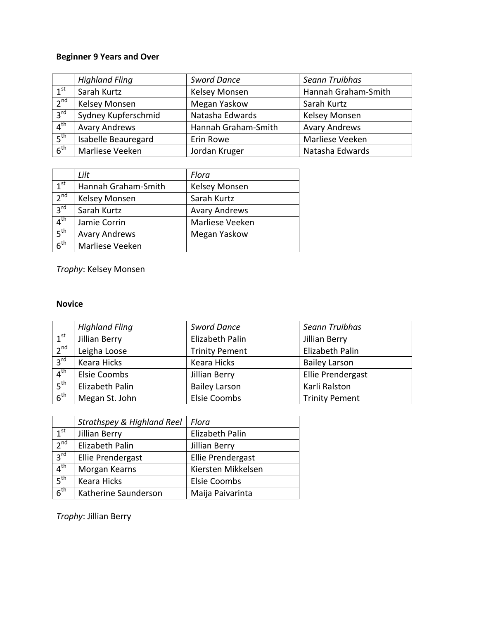# **Beginner 9 Years and Over**

|                 | <b>Highland Fling</b> | <b>Sword Dance</b>  | Seann Truibhas       |
|-----------------|-----------------------|---------------------|----------------------|
| 1 <sup>st</sup> | Sarah Kurtz           | Kelsey Monsen       | Hannah Graham-Smith  |
| $2^{nd}$        | Kelsey Monsen         | Megan Yaskow        | Sarah Kurtz          |
| 3 <sup>rd</sup> | Sydney Kupferschmid   | Natasha Edwards     | Kelsey Monsen        |
| $4^{\text{th}}$ | <b>Avary Andrews</b>  | Hannah Graham-Smith | <b>Avary Andrews</b> |
| 5 <sup>th</sup> | Isabelle Beauregard   | Erin Rowe           | Marliese Veeken      |
| 6 <sup>th</sup> | Marliese Veeken       | Jordan Kruger       | Natasha Edwards      |

|                 | Lilt                 | Flora                |
|-----------------|----------------------|----------------------|
| 1 <sup>st</sup> | Hannah Graham-Smith  | <b>Kelsey Monsen</b> |
| 2 <sup>nd</sup> | Kelsey Monsen        | Sarah Kurtz          |
| 3 <sup>rd</sup> | Sarah Kurtz          | <b>Avary Andrews</b> |
| 4 <sup>th</sup> | Jamie Corrin         | Marliese Veeken      |
| 5 <sup>th</sup> | <b>Avary Andrews</b> | Megan Yaskow         |
| 6 <sup>th</sup> | Marliese Veeken      |                      |

*Trophy*: Kelsey Monsen

# **Novice**

|                 | <b>Highland Fling</b> | <b>Sword Dance</b>    | Seann Truibhas        |
|-----------------|-----------------------|-----------------------|-----------------------|
| $1^{\text{st}}$ | Jillian Berry         | Elizabeth Palin       | Jillian Berry         |
| 2 <sup>nd</sup> | Leigha Loose          | <b>Trinity Pement</b> | Elizabeth Palin       |
| 3 <sup>rd</sup> | Keara Hicks           | Keara Hicks           | <b>Bailey Larson</b>  |
| 4 <sup>th</sup> | Elsie Coombs          | Jillian Berry         | Ellie Prendergast     |
| 5 <sup>th</sup> | Elizabeth Palin       | <b>Bailey Larson</b>  | Karli Ralston         |
| 6 <sup>th</sup> | Megan St. John        | <b>Elsie Coombs</b>   | <b>Trinity Pement</b> |

|                 | <b>Strathspey &amp; Highland Reel</b> | Flora               |
|-----------------|---------------------------------------|---------------------|
| 1 <sup>st</sup> | Jillian Berry                         | Elizabeth Palin     |
| 2 <sup>nd</sup> | Elizabeth Palin                       | Jillian Berry       |
| 3 <sup>rd</sup> | Ellie Prendergast                     | Ellie Prendergast   |
| 4 <sup>th</sup> | Morgan Kearns                         | Kiersten Mikkelsen  |
| 5 <sup>th</sup> | <b>Keara Hicks</b>                    | <b>Elsie Coombs</b> |
| 6 <sup>th</sup> | Katherine Saunderson                  | Maija Paivarinta    |

*Trophy*: Jillian Berry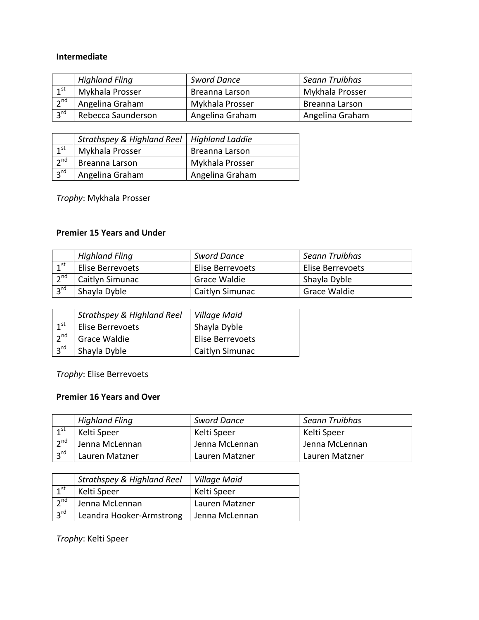#### **Intermediate**

|                   | <b>Highland Fling</b> | <b>Sword Dance</b> | Seann Truibhas  |
|-------------------|-----------------------|--------------------|-----------------|
| $\lambda$ st      | Mykhala Prosser       | Breanna Larson     | Mykhala Prosser |
| 2 <sup>nd</sup>   | Angelina Graham       | Mykhala Prosser    | Breanna Larson  |
| $\overline{3}$ rd | Rebecca Saunderson    | Angelina Graham    | Angelina Graham |

|                 | Strathspey & Highland Reel   Highland Laddie |                 |
|-----------------|----------------------------------------------|-----------------|
| $1^{\text{st}}$ | Mykhala Prosser                              | Breanna Larson  |
| 2 <sup>nd</sup> | Breanna Larson                               | Mykhala Prosser |
| 3 <sup>rd</sup> | Angelina Graham                              | Angelina Graham |

*Trophy*: Mykhala Prosser

## **Premier 15 Years and Under**

|                 | <b>Highland Fling</b> | <b>Sword Dance</b> | Seann Truibhas   |
|-----------------|-----------------------|--------------------|------------------|
| 1 <sup>st</sup> | Elise Berrevoets      | Elise Berrevoets   | Elise Berrevoets |
| 2 <sup>nd</sup> | Caitlyn Simunac       | Grace Waldie       | Shayla Dyble     |
| $3^{\text{rd}}$ | Shayla Dyble          | Caitlyn Simunac    | Grace Waldie     |

|                   | <b>Strathspey &amp; Highland Reel</b> | Village Maid     |
|-------------------|---------------------------------------|------------------|
| 1 <sup>st</sup>   | Elise Berrevoets                      | Shayla Dyble     |
| $2^{nd}$          | Grace Waldie                          | Elise Berrevoets |
| $\overline{3}$ rd | Shayla Dyble                          | Caitlyn Simunac  |

*Trophy*: Elise Berrevoets

## **Premier 16 Years and Over**

|                 | <b>Highland Fling</b> | <b>Sword Dance</b> | Seann Truibhas |
|-----------------|-----------------------|--------------------|----------------|
| 1 <sup>st</sup> | Kelti Speer           | Kelti Speer        | Kelti Speer    |
| $2^{\text{nd}}$ | Jenna McLennan        | Jenna McLennan     | Jenna McLennan |
| $2^{\text{rd}}$ | Lauren Matzner        | Lauren Matzner     | Lauren Matzner |

|                 | <b>Strathspey &amp; Highland Reel</b> | Village Maid   |
|-----------------|---------------------------------------|----------------|
| $1^{\text{st}}$ | Kelti Speer                           | Kelti Speer    |
| $2^{nd}$        | Jenna McLennan                        | Lauren Matzner |
| 3 <sup>rd</sup> | Leandra Hooker-Armstrong              | Jenna McLennan |

*Trophy*: Kelti Speer